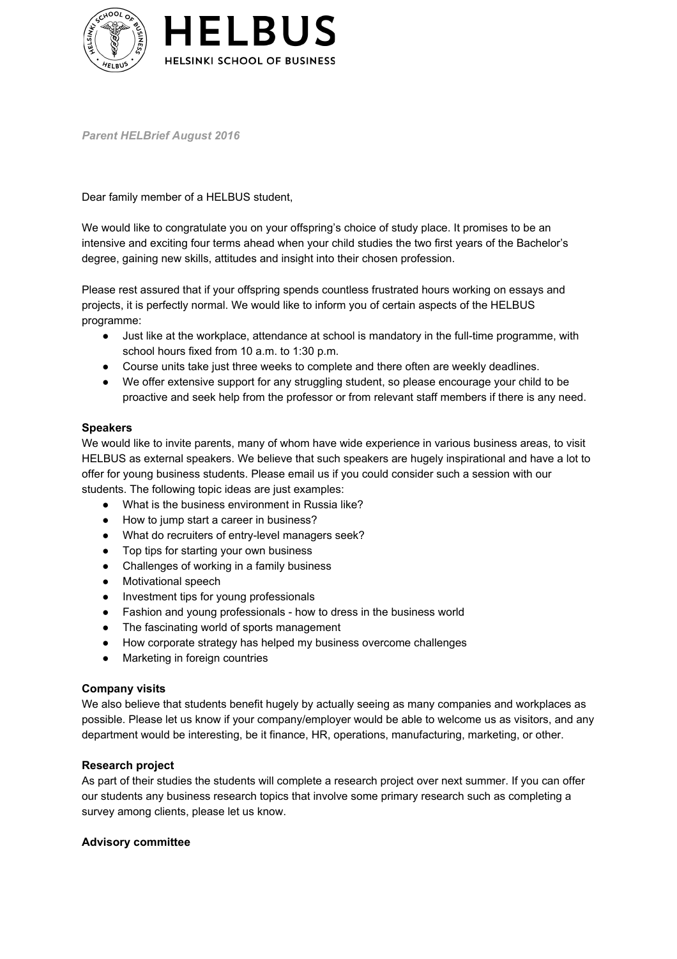

*Parent HELBrief August 2016*

Dear family member of a HELBUS student,

We would like to congratulate you on your offspring's choice of study place. It promises to be an intensive and exciting four terms ahead when your child studies the two first years of the Bachelor's degree, gaining new skills, attitudes and insight into their chosen profession.

Please rest assured that if your offspring spends countless frustrated hours working on essays and projects, it is perfectly normal. We would like to inform you of certain aspects of the HELBUS programme:

- Just like at the workplace, attendance at school is mandatory in the full-time programme, with school hours fixed from 10 a.m. to 1:30 p.m.
- Course units take just three weeks to complete and there often are weekly deadlines.
- We offer extensive support for any struggling student, so please encourage your child to be proactive and seek help from the professor or from relevant staff members if there is any need.

## **Speakers**

We would like to invite parents, many of whom have wide experience in various business areas, to visit HELBUS as external speakers. We believe that such speakers are hugely inspirational and have a lot to offer for young business students. Please email us if you could consider such a session with our students. The following topic ideas are just examples:

- What is the business environment in Russia like?
- How to jump start a career in business?
- What do recruiters of entrylevel managers seek?
- Top tips for starting your own business
- Challenges of working in a family business
- Motivational speech
- Investment tips for young professionals
- Fashion and young professionals how to dress in the business world
- The fascinating world of sports management
- How corporate strategy has helped my business overcome challenges
- Marketing in foreign countries

### **Company visits**

We also believe that students benefit hugely by actually seeing as many companies and workplaces as possible. Please let us know if your company/employer would be able to welcome us as visitors, and any department would be interesting, be it finance, HR, operations, manufacturing, marketing, or other.

### **Research project**

As part of their studies the students will complete a research project over next summer. If you can offer our students any business research topics that involve some primary research such as completing a survey among clients, please let us know.

### **Advisory committee**